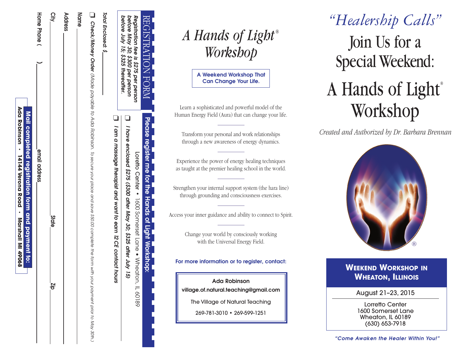| before July 15; \$325 thereaffer. |                                                                                                                                                    |
|-----------------------------------|----------------------------------------------------------------------------------------------------------------------------------------------------|
|                                   | $\Box$ I am a massage therapist and want to earn 12 CE contact<br>hours                                                                            |
| Total Enclosed: \$_               |                                                                                                                                                    |
|                                   | <b>Check/Money Order</b> (Made payable to Ada to Ada to a secure your place and save \$50.00 complete the form with your powent prior to May 30th. |
| Name                              |                                                                                                                                                    |
| Address                           |                                                                                                                                                    |
| Qity                              | <b>State</b><br>dr                                                                                                                                 |
| Hone Phone                        | email address                                                                                                                                      |
|                                   | Mail completed registration form and payment to:                                                                                                   |
|                                   | Ada Representation - Marshall Mercha - Marshall Mi                                                                                                 |

| A Hands of Light® |          |
|-------------------|----------|
|                   | Workshop |

REGISTRATION

*Registration*

gistration

*before*

*May 30;*

*\$300 per*

*person*

*fee is \$275*

*per*

*person*

FORM

**Please**

**register**

**me for the**

Loretto

 $\Box$ 

*I have*

*enclosed*

*\$275*

*(\$300*

*after*

*May 30; \$325*

*after*

*July 15)* Center

**•** 1600

Somerset

Lane •

Wheaton,

 $\equiv$ 60189 **Hands**

**of**

Light Workshop: **Workshop:**

**A** Weekend Workshop That **Can Change Your Life.** 

Learn a sophisticated and powerful model of the Human Energy Field (Aura) that can change your life.

Transform vour personal and work relationships through a new awareness of energy dynamics.

Experience the power of energy healing techniques as taught at the premier healing school in the world.

Strengthen vour internal support system (the hara line) through grounding and consciousness exercises.

Access your inner guidance and ability to connect to Spirit.

Change your world by consciously working with the Universal Energy Field.

For more information or to reaister, contact:

**Ada Robinson** village.of.natural.teachina@amail.com

The Village of Natural Teaching

269-781-3010 • 269-599-1251

# Join Us for a Special Weekend : A Hands of Light<sup>®</sup> Workshop *" H ea le rs h ip C a lls "*

Created and Authorized by Dr. Barbara Brennan



## **WEEKEND WORKSHOP IN Wheaton, Illinois**

#### August 21-23, 2015

Lorretto Center 1600 Somerset Lane Wheaton, IL 60189 (630) 653-7918